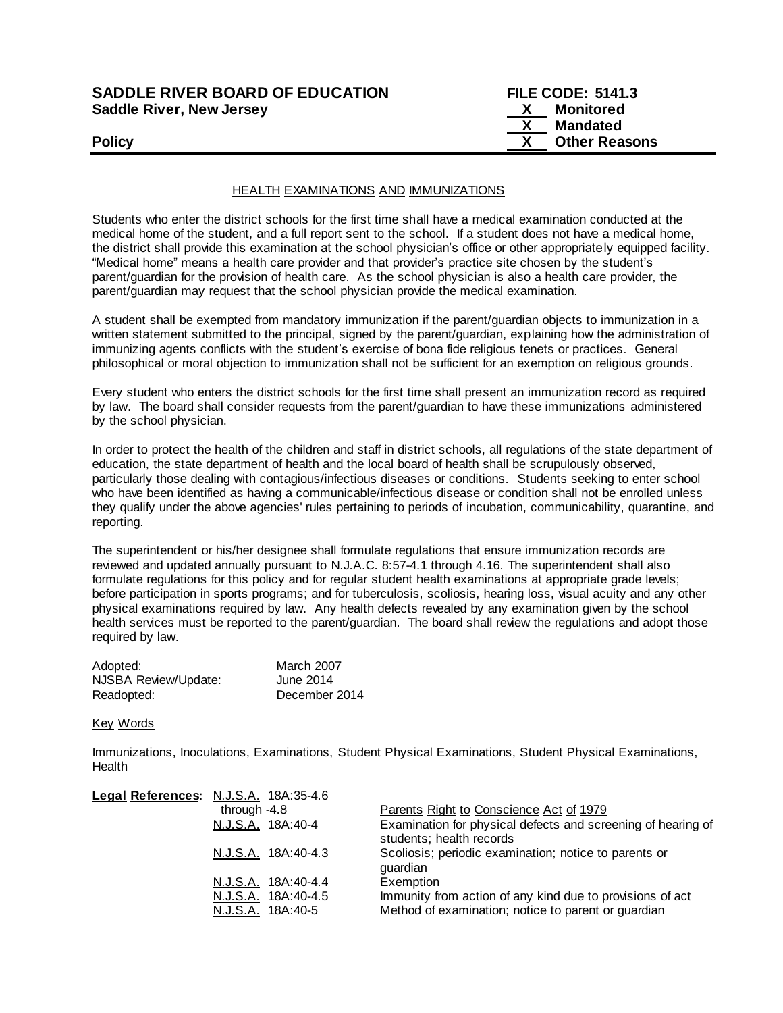| <b>SADDLE RIVER BOARD OF EDUCATION</b> | <b>FILE CODE: 5141.3</b> |
|----------------------------------------|--------------------------|
| <b>Saddle River, New Jersey</b>        | Monitored                |

| ۰, | ×<br>ł |
|----|--------|

| <b>SADDLE RIVER BOARD OF EDUCATION</b> | <b>FILE CODE: 5141.3</b> |  |
|----------------------------------------|--------------------------|--|
| Saddle River, New Jersey               | Monitored<br>X.          |  |
|                                        | Mandated                 |  |
| <b>Policy</b>                          | <b>Other Reasons</b>     |  |

## HEALTH EXAMINATIONS AND IMMUNIZATIONS

Students who enter the district schools for the first time shall have a medical examination conducted at the medical home of the student, and a full report sent to the school. If a student does not have a medical home, the district shall provide this examination at the school physician's office or other appropriately equipped facility. "Medical home" means a health care provider and that provider's practice site chosen by the student's parent/guardian for the provision of health care. As the school physician is also a health care provider, the parent/guardian may request that the school physician provide the medical examination.

A student shall be exempted from mandatory immunization if the parent/guardian objects to immunization in a written statement submitted to the principal, signed by the parent/guardian, explaining how the administration of immunizing agents conflicts with the student's exercise of bona fide religious tenets or practices. General philosophical or moral objection to immunization shall not be sufficient for an exemption on religious grounds.

Every student who enters the district schools for the first time shall present an immunization record as required by law. The board shall consider requests from the parent/guardian to have these immunizations administered by the school physician.

In order to protect the health of the children and staff in district schools, all regulations of the state department of education, the state department of health and the local board of health shall be scrupulously observed, particularly those dealing with contagious/infectious diseases or conditions. Students seeking to enter school who have been identified as having a communicable/infectious disease or condition shall not be enrolled unless they qualify under the above agencies' rules pertaining to periods of incubation, communicability, quarantine, and reporting.

The superintendent or his/her designee shall formulate regulations that ensure immunization records are reviewed and updated annually pursuant to  $N.L.A.C.$  8:57-4.1 through 4.16. The superintendent shall also formulate regulations for this policy and for regular student health examinations at appropriate grade levels; before participation in sports programs; and for tuberculosis, scoliosis, hearing loss, visual acuity and any other physical examinations required by law. Any health defects revealed by any examination given by the school health services must be reported to the parent/guardian. The board shall review the regulations and adopt those required by law.

| Adopted:             | <b>March 2007</b> |
|----------------------|-------------------|
| NJSBA Review/Update: | June 2014         |
| Readopted:           | December 2014     |

## Key Words

Immunizations, Inoculations, Examinations, Student Physical Examinations, Student Physical Examinations, **Health** 

| Legal References: N.J.S.A. 18A:35-4.6    |                                                                                                                  |
|------------------------------------------|------------------------------------------------------------------------------------------------------------------|
| through $-4.8$                           | Parents Right to Conscience Act of 1979                                                                          |
| N.J.S.A. 18A:40-4                        | Examination for physical defects and screening of hearing of<br>students; health records                         |
| N.J.S.A. 18A:40-4.3                      | Scoliosis; periodic examination; notice to parents or<br>quardian                                                |
| N.J.S.A. 18A:40-4.4                      | Exemption                                                                                                        |
| N.J.S.A. 18A:40-4.5<br>N.J.S.A. 18A:40-5 | Immunity from action of any kind due to provisions of act<br>Method of examination; notice to parent or guardian |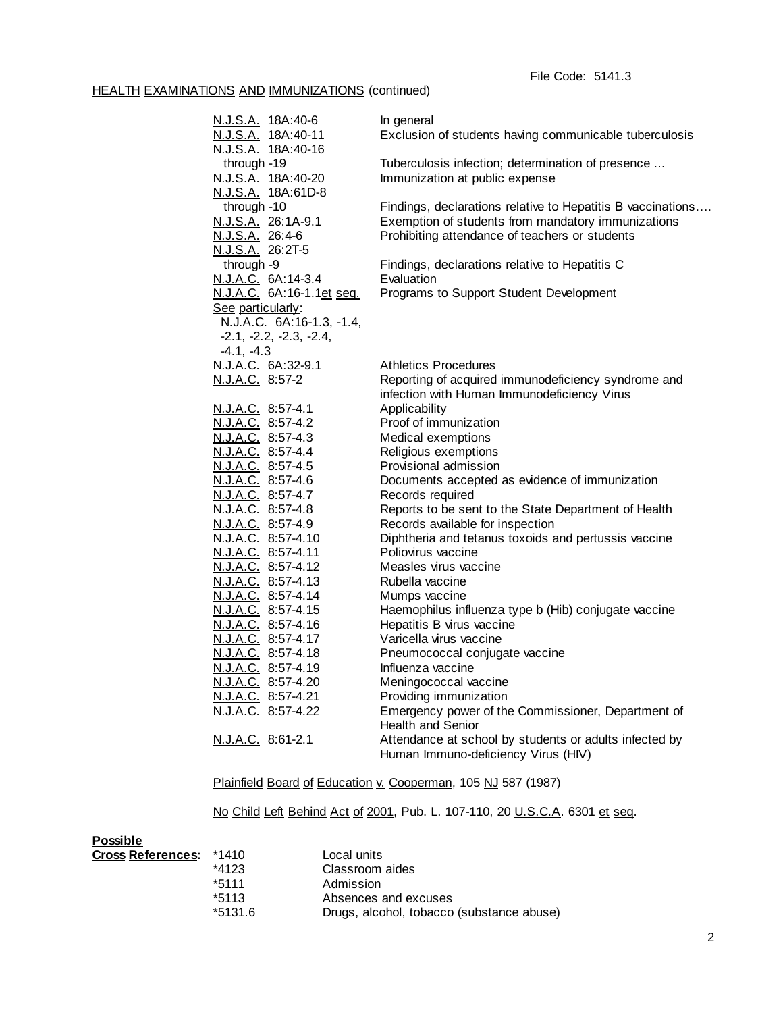## HEALTH EXAMINATIONS AND IMMUNIZATIONS (continued)

| N.J.S.A. 18A:40-6                        | In general                                                                        |
|------------------------------------------|-----------------------------------------------------------------------------------|
| N.J.S.A. 18A:40-11                       | Exclusion of students having communicable tuberculosis                            |
| N.J.S.A. 18A:40-16                       |                                                                                   |
| through -19                              | Tuberculosis infection; determination of presence                                 |
| N.J.S.A. 18A:40-20                       | Immunization at public expense                                                    |
| N.J.S.A. 18A:61D-8                       |                                                                                   |
| through -10                              | Findings, declarations relative to Hepatitis B vaccinations                       |
| N.J.S.A. 26:1A-9.1                       | Exemption of students from mandatory immunizations                                |
| N.J.S.A. 26:4-6                          | Prohibiting attendance of teachers or students                                    |
| N.J.S.A. 26:2T-5                         |                                                                                   |
| through -9                               | Findings, declarations relative to Hepatitis C                                    |
| N.J.A.C. 6A:14-3.4                       | Evaluation                                                                        |
| N.J.A.C. 6A:16-1.1et seq.                | Programs to Support Student Development                                           |
| See particularly:                        |                                                                                   |
| N.J.A.C. 6A:16-1.3, -1.4,                |                                                                                   |
| $-2.1, -2.2, -2.3, -2.4,$                |                                                                                   |
| $-4.1, -4.3$                             |                                                                                   |
| N.J.A.C. 6A:32-9.1                       | <b>Athletics Procedures</b>                                                       |
| N.J.A.C. 8:57-2                          | Reporting of acquired immunodeficiency syndrome and                               |
|                                          | infection with Human Immunodeficiency Virus                                       |
| N.J.A.C. 8:57-4.1                        | Applicability                                                                     |
| N.J.A.C. 8:57-4.2                        | Proof of immunization                                                             |
| N.J.A.C. 8:57-4.3                        | Medical exemptions                                                                |
| N.J.A.C. 8:57-4.4                        | Religious exemptions                                                              |
| N.J.A.C. 8:57-4.5                        | Provisional admission                                                             |
| N.J.A.C. 8:57-4.6                        | Documents accepted as evidence of immunization                                    |
| N.J.A.C. 8:57-4.7                        | Records required                                                                  |
| N.J.A.C. 8:57-4.8                        | Reports to be sent to the State Department of Health                              |
| N.J.A.C. 8:57-4.9                        | Records available for inspection                                                  |
| N.J.A.C. 8:57-4.10                       | Diphtheria and tetanus toxoids and pertussis vaccine                              |
| N.J.A.C. 8:57-4.11                       | Poliovirus vaccine                                                                |
| N.J.A.C. 8:57-4.12                       | Measles virus vaccine                                                             |
| N.J.A.C. 8:57-4.13                       | Rubella vaccine                                                                   |
| N.J.A.C. 8:57-4.14                       | Mumps vaccine                                                                     |
| N.J.A.C. 8:57-4.15<br>N.J.A.C. 8:57-4.16 | Haemophilus influenza type b (Hib) conjugate vaccine<br>Hepatitis B virus vaccine |
| N.J.A.C. 8:57-4.17                       | Varicella virus vaccine                                                           |
|                                          | Pneumococcal conjugate vaccine                                                    |
| N.J.A.C. 8:57-4.18<br>N.J.A.C. 8:57-4.19 | Influenza vaccine                                                                 |
| N.J.A.C. 8:57-4.20                       | Meningococcal vaccine                                                             |
| N.J.A.C. 8:57-4.21                       | Providing immunization                                                            |
| N.J.A.C. 8:57-4.22                       |                                                                                   |
|                                          | Emergency power of the Commissioner, Department of<br>Health and Senior           |
| N.J.A.C. 8:61-2.1                        | Attendance at school by students or adults infected by                            |
|                                          | Human Immuno-deficiency Virus (HIV)                                               |
|                                          |                                                                                   |

Plainfield Board of Education v. Cooperman, 105 NJ 587 (1987)

No Child Left Behind Act of 2001, Pub. L. 107-110, 20 U.S.C.A. 6301 et seq.

| <b>Possible</b>          |         |                                           |
|--------------------------|---------|-------------------------------------------|
| <b>Cross References:</b> | *1410   | Local units                               |
|                          | $*4123$ | Classroom aides                           |
|                          | *5111   | Admission                                 |
|                          | $*5113$ | Absences and excuses                      |
|                          | *5131.6 | Drugs, alcohol, tobacco (substance abuse) |